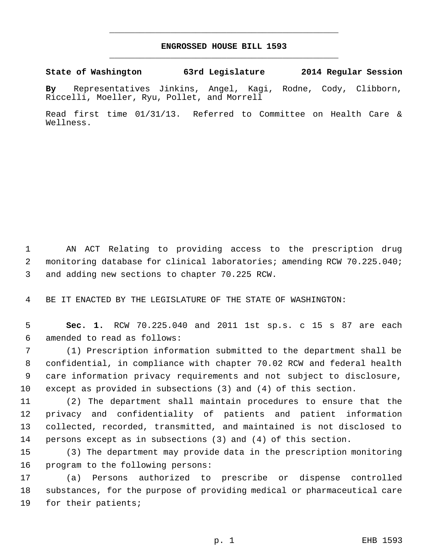## **ENGROSSED HOUSE BILL 1593** \_\_\_\_\_\_\_\_\_\_\_\_\_\_\_\_\_\_\_\_\_\_\_\_\_\_\_\_\_\_\_\_\_\_\_\_\_\_\_\_\_\_\_\_\_

\_\_\_\_\_\_\_\_\_\_\_\_\_\_\_\_\_\_\_\_\_\_\_\_\_\_\_\_\_\_\_\_\_\_\_\_\_\_\_\_\_\_\_\_\_

**State of Washington 63rd Legislature 2014 Regular Session**

**By** Representatives Jinkins, Angel, Kagi, Rodne, Cody, Clibborn, Riccelli, Moeller, Ryu, Pollet, and Morrell

Read first time 01/31/13. Referred to Committee on Health Care & Wellness.

 AN ACT Relating to providing access to the prescription drug monitoring database for clinical laboratories; amending RCW 70.225.040; and adding new sections to chapter 70.225 RCW.

BE IT ENACTED BY THE LEGISLATURE OF THE STATE OF WASHINGTON:

 **Sec. 1.** RCW 70.225.040 and 2011 1st sp.s. c 15 s 87 are each amended to read as follows:

 (1) Prescription information submitted to the department shall be confidential, in compliance with chapter 70.02 RCW and federal health care information privacy requirements and not subject to disclosure, except as provided in subsections (3) and (4) of this section.

 (2) The department shall maintain procedures to ensure that the privacy and confidentiality of patients and patient information collected, recorded, transmitted, and maintained is not disclosed to persons except as in subsections (3) and (4) of this section.

 (3) The department may provide data in the prescription monitoring program to the following persons:

 (a) Persons authorized to prescribe or dispense controlled substances, for the purpose of providing medical or pharmaceutical care for their patients;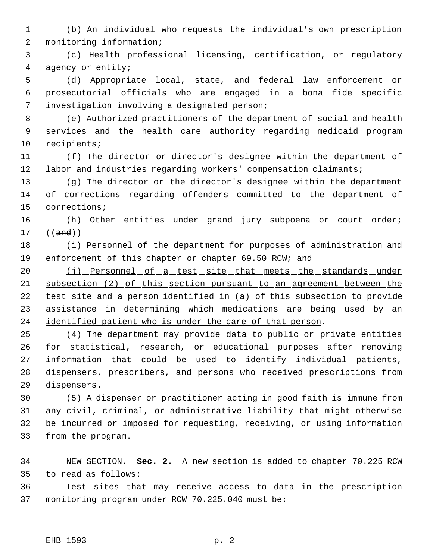(b) An individual who requests the individual's own prescription monitoring information;

 (c) Health professional licensing, certification, or regulatory agency or entity;

 (d) Appropriate local, state, and federal law enforcement or prosecutorial officials who are engaged in a bona fide specific investigation involving a designated person;

 (e) Authorized practitioners of the department of social and health services and the health care authority regarding medicaid program recipients;

 (f) The director or director's designee within the department of labor and industries regarding workers' compensation claimants;

 (g) The director or the director's designee within the department of corrections regarding offenders committed to the department of corrections;

 (h) Other entities under grand jury subpoena or court order; ((and))

 (i) Personnel of the department for purposes of administration and 19 enforcement of this chapter or chapter 69.50 RCW; and

20 (j) Personnel of a test site that meets the standards under subsection (2) of this section pursuant to an agreement between the test site and a person identified in (a) of this subsection to provide 23 assistance in determining which medications are being used by an 24 identified patient who is under the care of that person.

 (4) The department may provide data to public or private entities for statistical, research, or educational purposes after removing information that could be used to identify individual patients, dispensers, prescribers, and persons who received prescriptions from dispensers.

 (5) A dispenser or practitioner acting in good faith is immune from any civil, criminal, or administrative liability that might otherwise be incurred or imposed for requesting, receiving, or using information from the program.

 NEW SECTION. **Sec. 2.** A new section is added to chapter 70.225 RCW to read as follows:

 Test sites that may receive access to data in the prescription monitoring program under RCW 70.225.040 must be: